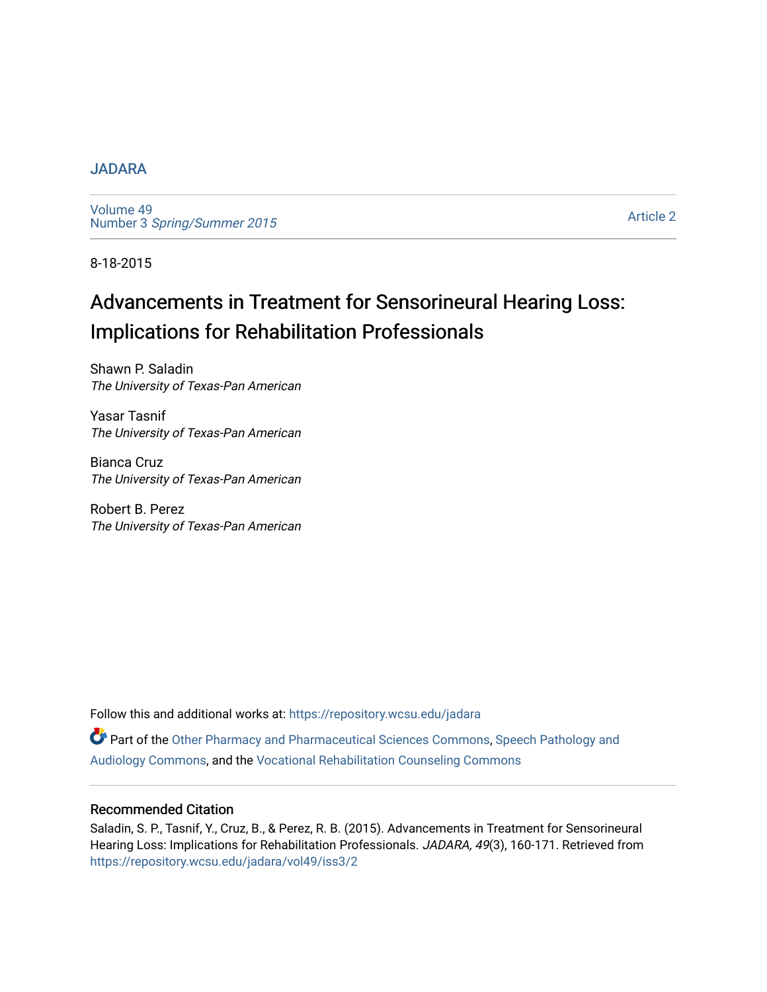#### [JADARA](https://repository.wcsu.edu/jadara)

[Volume 49](https://repository.wcsu.edu/jadara/vol49)  Number 3 [Spring/Summer 2015](https://repository.wcsu.edu/jadara/vol49/iss3) 

[Article 2](https://repository.wcsu.edu/jadara/vol49/iss3/2) 

8-18-2015

# Advancements in Treatment for Sensorineural Hearing Loss: Implications for Rehabilitation Professionals

Shawn P. Saladin The University of Texas-Pan American

Yasar Tasnif The University of Texas-Pan American

Bianca Cruz The University of Texas-Pan American

Robert B. Perez The University of Texas-Pan American

Follow this and additional works at: [https://repository.wcsu.edu/jadara](https://repository.wcsu.edu/jadara?utm_source=repository.wcsu.edu%2Fjadara%2Fvol49%2Fiss3%2F2&utm_medium=PDF&utm_campaign=PDFCoverPages)

Part of the [Other Pharmacy and Pharmaceutical Sciences Commons](http://network.bepress.com/hgg/discipline/737?utm_source=repository.wcsu.edu%2Fjadara%2Fvol49%2Fiss3%2F2&utm_medium=PDF&utm_campaign=PDFCoverPages), [Speech Pathology and](http://network.bepress.com/hgg/discipline/1035?utm_source=repository.wcsu.edu%2Fjadara%2Fvol49%2Fiss3%2F2&utm_medium=PDF&utm_campaign=PDFCoverPages)  [Audiology Commons,](http://network.bepress.com/hgg/discipline/1035?utm_source=repository.wcsu.edu%2Fjadara%2Fvol49%2Fiss3%2F2&utm_medium=PDF&utm_campaign=PDFCoverPages) and the [Vocational Rehabilitation Counseling Commons](http://network.bepress.com/hgg/discipline/756?utm_source=repository.wcsu.edu%2Fjadara%2Fvol49%2Fiss3%2F2&utm_medium=PDF&utm_campaign=PDFCoverPages)

#### Recommended Citation

Saladin, S. P., Tasnif, Y., Cruz, B., & Perez, R. B. (2015). Advancements in Treatment for Sensorineural Hearing Loss: Implications for Rehabilitation Professionals. JADARA, 49(3), 160-171. Retrieved from [https://repository.wcsu.edu/jadara/vol49/iss3/2](https://repository.wcsu.edu/jadara/vol49/iss3/2?utm_source=repository.wcsu.edu%2Fjadara%2Fvol49%2Fiss3%2F2&utm_medium=PDF&utm_campaign=PDFCoverPages)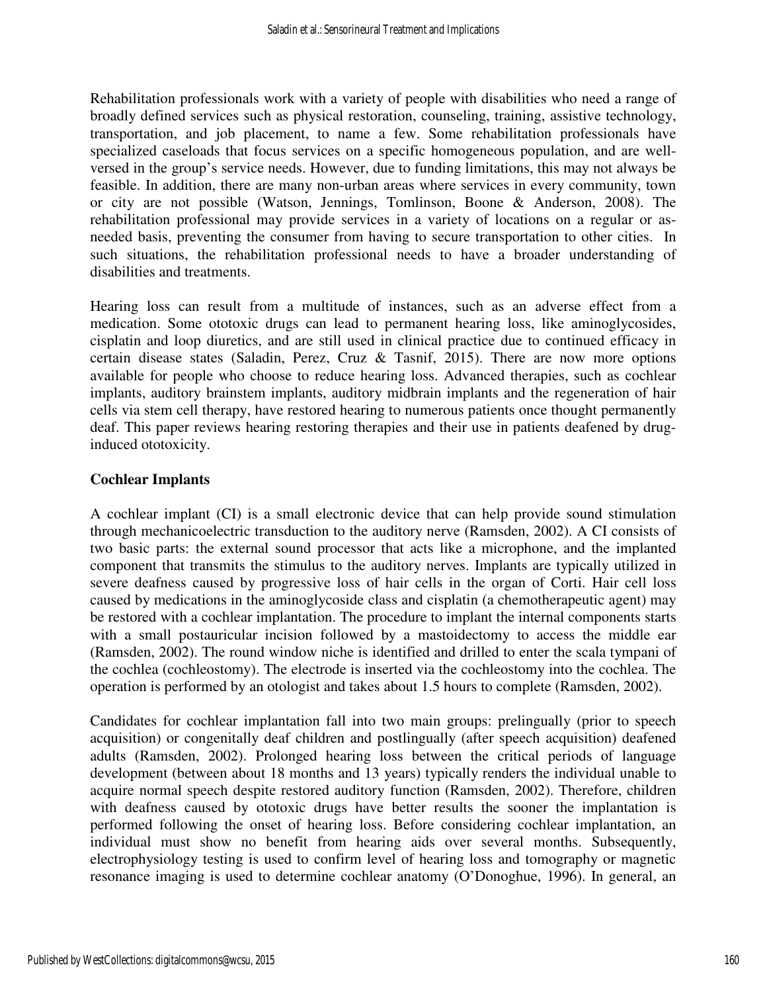Rehabilitation professionals work with a variety of people with disabilities who need a range of broadly defined services such as physical restoration, counseling, training, assistive technology, transportation, and job placement, to name a few. Some rehabilitation professionals have specialized caseloads that focus services on a specific homogeneous population, and are wellversed in the group's service needs. However, due to funding limitations, this may not always be feasible. In addition, there are many non-urban areas where services in every community, town or city are not possible (Watson, Jennings, Tomlinson, Boone & Anderson, 2008). The rehabilitation professional may provide services in a variety of locations on a regular or asneeded basis, preventing the consumer from having to secure transportation to other cities. In such situations, the rehabilitation professional needs to have a broader understanding of disabilities and treatments.

Hearing loss can result from a multitude of instances, such as an adverse effect from a medication. Some ototoxic drugs can lead to permanent hearing loss, like aminoglycosides, cisplatin and loop diuretics, and are still used in clinical practice due to continued efficacy in certain disease states (Saladin, Perez, Cruz & Tasnif, 2015). There are now more options available for people who choose to reduce hearing loss. Advanced therapies, such as cochlear implants, auditory brainstem implants, auditory midbrain implants and the regeneration of hair cells via stem cell therapy, have restored hearing to numerous patients once thought permanently deaf. This paper reviews hearing restoring therapies and their use in patients deafened by druginduced ototoxicity.

# **Cochlear Implants**

A cochlear implant (CI) is a small electronic device that can help provide sound stimulation through mechanicoelectric transduction to the auditory nerve (Ramsden, 2002). A CI consists of two basic parts: the external sound processor that acts like a microphone, and the implanted component that transmits the stimulus to the auditory nerves. Implants are typically utilized in severe deafness caused by progressive loss of hair cells in the organ of Corti. Hair cell loss caused by medications in the aminoglycoside class and cisplatin (a chemotherapeutic agent) may be restored with a cochlear implantation. The procedure to implant the internal components starts with a small postauricular incision followed by a mastoidectomy to access the middle ear (Ramsden, 2002). The round window niche is identified and drilled to enter the scala tympani of the cochlea (cochleostomy). The electrode is inserted via the cochleostomy into the cochlea. The operation is performed by an otologist and takes about 1.5 hours to complete (Ramsden, 2002).

Candidates for cochlear implantation fall into two main groups: prelingually (prior to speech acquisition) or congenitally deaf children and postlingually (after speech acquisition) deafened adults (Ramsden, 2002). Prolonged hearing loss between the critical periods of language development (between about 18 months and 13 years) typically renders the individual unable to acquire normal speech despite restored auditory function (Ramsden, 2002). Therefore, children with deafness caused by ototoxic drugs have better results the sooner the implantation is performed following the onset of hearing loss. Before considering cochlear implantation, an individual must show no benefit from hearing aids over several months. Subsequently, electrophysiology testing is used to confirm level of hearing loss and tomography or magnetic resonance imaging is used to determine cochlear anatomy (O'Donoghue, 1996). In general, an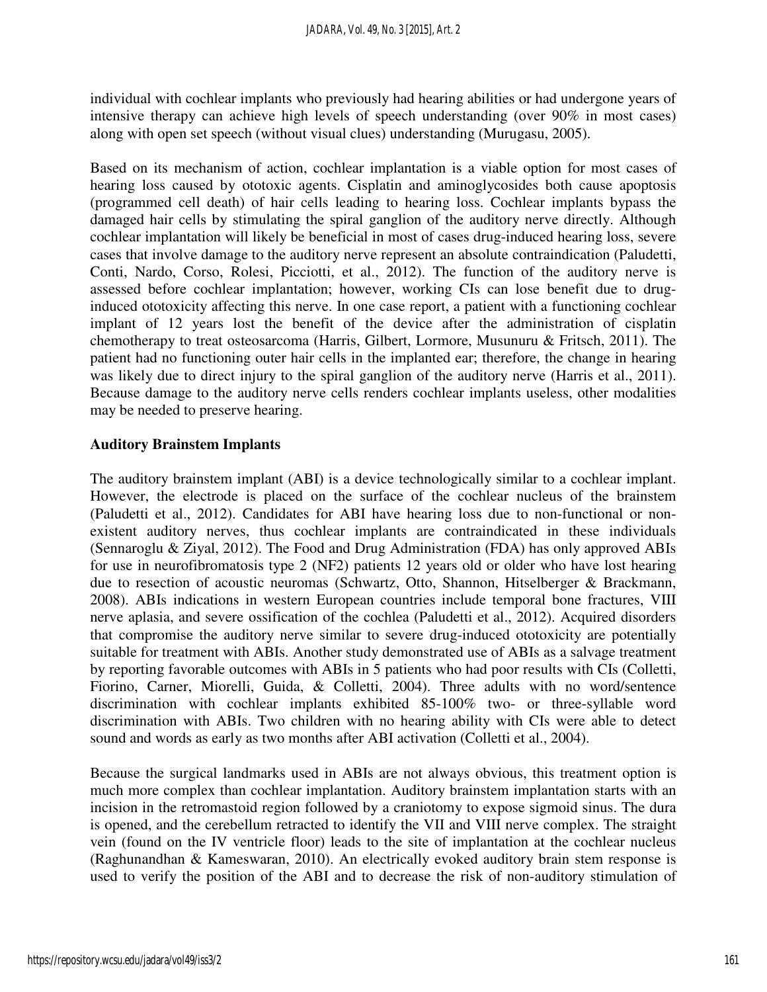individual with cochlear implants who previously had hearing abilities or had undergone years of intensive therapy can achieve high levels of speech understanding (over 90% in most cases) along with open set speech (without visual clues) understanding (Murugasu, 2005).

Based on its mechanism of action, cochlear implantation is a viable option for most cases of hearing loss caused by ototoxic agents. Cisplatin and aminoglycosides both cause apoptosis (programmed cell death) of hair cells leading to hearing loss. Cochlear implants bypass the damaged hair cells by stimulating the spiral ganglion of the auditory nerve directly. Although cochlear implantation will likely be beneficial in most of cases drug-induced hearing loss, severe cases that involve damage to the auditory nerve represent an absolute contraindication (Paludetti, Conti, Nardo, Corso, Rolesi, Picciotti, et al., 2012). The function of the auditory nerve is assessed before cochlear implantation; however, working CIs can lose benefit due to druginduced ototoxicity affecting this nerve. In one case report, a patient with a functioning cochlear implant of 12 years lost the benefit of the device after the administration of cisplatin chemotherapy to treat osteosarcoma (Harris, Gilbert, Lormore, Musunuru & Fritsch, 2011). The patient had no functioning outer hair cells in the implanted ear; therefore, the change in hearing was likely due to direct injury to the spiral ganglion of the auditory nerve (Harris et al., 2011). Because damage to the auditory nerve cells renders cochlear implants useless, other modalities may be needed to preserve hearing.

# **Auditory Brainstem Implants**

The auditory brainstem implant (ABI) is a device technologically similar to a cochlear implant. However, the electrode is placed on the surface of the cochlear nucleus of the brainstem (Paludetti et al., 2012). Candidates for ABI have hearing loss due to non-functional or nonexistent auditory nerves, thus cochlear implants are contraindicated in these individuals (Sennaroglu & Ziyal, 2012). The Food and Drug Administration (FDA) has only approved ABIs for use in neurofibromatosis type 2 (NF2) patients 12 years old or older who have lost hearing due to resection of acoustic neuromas (Schwartz, Otto, Shannon, Hitselberger & Brackmann, 2008). ABIs indications in western European countries include temporal bone fractures, VIII nerve aplasia, and severe ossification of the cochlea (Paludetti et al., 2012). Acquired disorders that compromise the auditory nerve similar to severe drug-induced ototoxicity are potentially suitable for treatment with ABIs. Another study demonstrated use of ABIs as a salvage treatment by reporting favorable outcomes with ABIs in 5 patients who had poor results with CIs (Colletti, Fiorino, Carner, Miorelli, Guida, & Colletti, 2004). Three adults with no word/sentence discrimination with cochlear implants exhibited 85-100% two- or three-syllable word discrimination with ABIs. Two children with no hearing ability with CIs were able to detect sound and words as early as two months after ABI activation (Colletti et al., 2004).

Because the surgical landmarks used in ABIs are not always obvious, this treatment option is much more complex than cochlear implantation. Auditory brainstem implantation starts with an incision in the retromastoid region followed by a craniotomy to expose sigmoid sinus. The dura is opened, and the cerebellum retracted to identify the VII and VIII nerve complex. The straight vein (found on the IV ventricle floor) leads to the site of implantation at the cochlear nucleus (Raghunandhan & Kameswaran, 2010). An electrically evoked auditory brain stem response is used to verify the position of the ABI and to decrease the risk of non-auditory stimulation of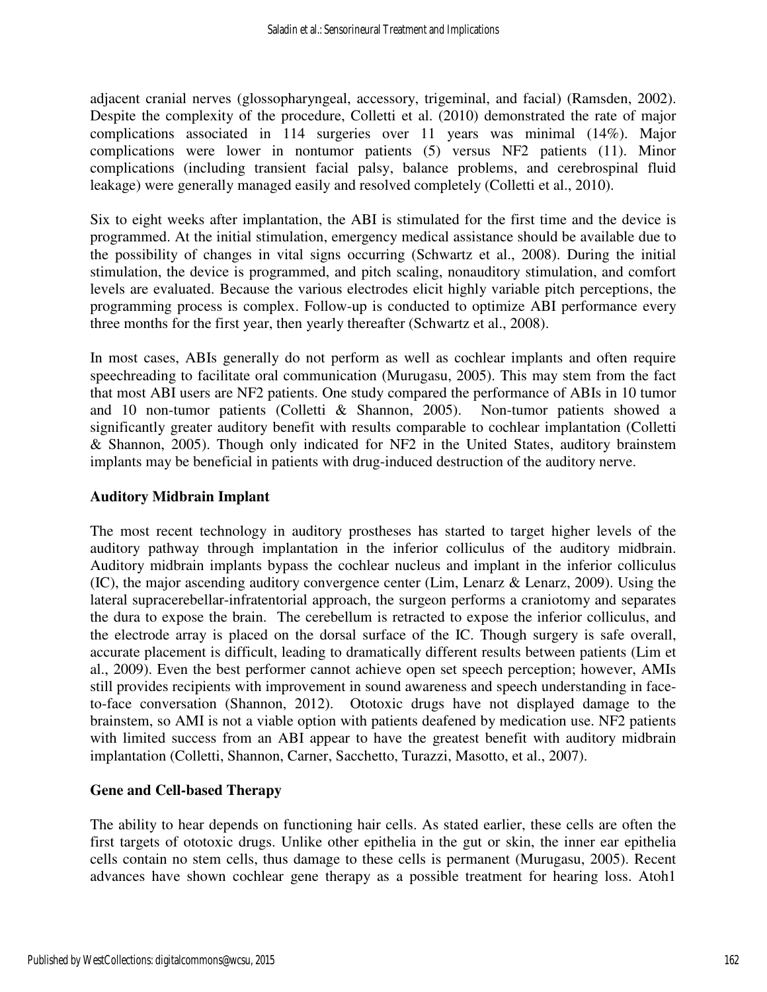adjacent cranial nerves (glossopharyngeal, accessory, trigeminal, and facial) (Ramsden, 2002). Despite the complexity of the procedure, Colletti et al. (2010) demonstrated the rate of major complications associated in 114 surgeries over 11 years was minimal (14%). Major complications were lower in nontumor patients (5) versus NF2 patients (11). Minor complications (including transient facial palsy, balance problems, and cerebrospinal fluid leakage) were generally managed easily and resolved completely (Colletti et al., 2010).

Six to eight weeks after implantation, the ABI is stimulated for the first time and the device is programmed. At the initial stimulation, emergency medical assistance should be available due to the possibility of changes in vital signs occurring (Schwartz et al., 2008). During the initial stimulation, the device is programmed, and pitch scaling, nonauditory stimulation, and comfort levels are evaluated. Because the various electrodes elicit highly variable pitch perceptions, the programming process is complex. Follow-up is conducted to optimize ABI performance every three months for the first year, then yearly thereafter (Schwartz et al., 2008).

In most cases, ABIs generally do not perform as well as cochlear implants and often require speechreading to facilitate oral communication (Murugasu, 2005). This may stem from the fact that most ABI users are NF2 patients. One study compared the performance of ABIs in 10 tumor and 10 non-tumor patients (Colletti & Shannon, 2005). Non-tumor patients showed a significantly greater auditory benefit with results comparable to cochlear implantation (Colletti & Shannon, 2005). Though only indicated for NF2 in the United States, auditory brainstem implants may be beneficial in patients with drug-induced destruction of the auditory nerve.

# **Auditory Midbrain Implant**

The most recent technology in auditory prostheses has started to target higher levels of the auditory pathway through implantation in the inferior colliculus of the auditory midbrain. Auditory midbrain implants bypass the cochlear nucleus and implant in the inferior colliculus (IC), the major ascending auditory convergence center (Lim, Lenarz & Lenarz, 2009). Using the lateral supracerebellar-infratentorial approach, the surgeon performs a craniotomy and separates the dura to expose the brain. The cerebellum is retracted to expose the inferior colliculus, and the electrode array is placed on the dorsal surface of the IC. Though surgery is safe overall, accurate placement is difficult, leading to dramatically different results between patients (Lim et al., 2009). Even the best performer cannot achieve open set speech perception; however, AMIs still provides recipients with improvement in sound awareness and speech understanding in faceto-face conversation (Shannon, 2012). Ototoxic drugs have not displayed damage to the brainstem, so AMI is not a viable option with patients deafened by medication use. NF2 patients with limited success from an ABI appear to have the greatest benefit with auditory midbrain implantation (Colletti, Shannon, Carner, Sacchetto, Turazzi, Masotto, et al., 2007).

## **Gene and Cell-based Therapy**

The ability to hear depends on functioning hair cells. As stated earlier, these cells are often the first targets of ototoxic drugs. Unlike other epithelia in the gut or skin, the inner ear epithelia cells contain no stem cells, thus damage to these cells is permanent (Murugasu, 2005). Recent advances have shown cochlear gene therapy as a possible treatment for hearing loss. Atoh1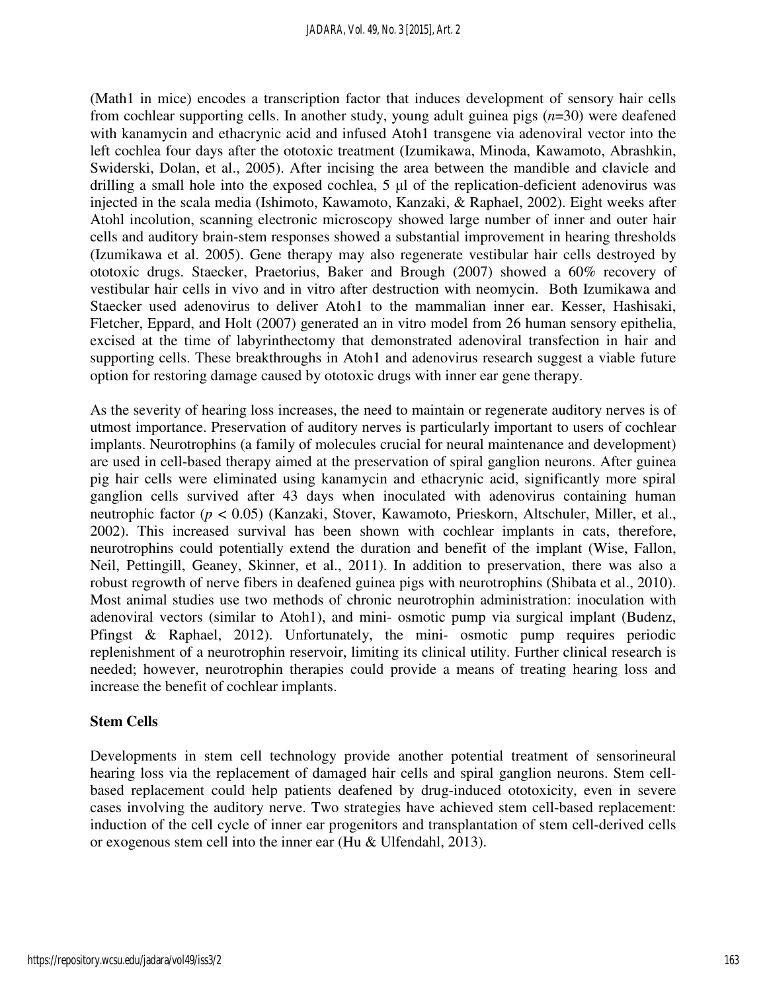(Math1 in mice) encodes a transcription factor that induces development of sensory hair cells from cochlear supporting cells. In another study, young adult guinea pigs (*n*=30) were deafened with kanamycin and ethacrynic acid and infused Atoh1 transgene via adenoviral vector into the left cochlea four days after the ototoxic treatment (Izumikawa, Minoda, Kawamoto, Abrashkin, Swiderski, Dolan, et al., 2005). After incising the area between the mandible and clavicle and drilling a small hole into the exposed cochlea, 5 µl of the replication-deficient adenovirus was injected in the scala media (Ishimoto, Kawamoto, Kanzaki, & Raphael, 2002). Eight weeks after Atohl incolution, scanning electronic microscopy showed large number of inner and outer hair cells and auditory brain-stem responses showed a substantial improvement in hearing thresholds (Izumikawa et al. 2005). Gene therapy may also regenerate vestibular hair cells destroyed by ototoxic drugs. Staecker, Praetorius, Baker and Brough (2007) showed a 60% recovery of vestibular hair cells in vivo and in vitro after destruction with neomycin. Both Izumikawa and Staecker used adenovirus to deliver Atoh1 to the mammalian inner ear. Kesser, Hashisaki, Fletcher, Eppard, and Holt (2007) generated an in vitro model from 26 human sensory epithelia, excised at the time of labyrinthectomy that demonstrated adenoviral transfection in hair and supporting cells. These breakthroughs in Atoh1 and adenovirus research suggest a viable future option for restoring damage caused by ototoxic drugs with inner ear gene therapy.

As the severity of hearing loss increases, the need to maintain or regenerate auditory nerves is of utmost importance. Preservation of auditory nerves is particularly important to users of cochlear implants. Neurotrophins (a family of molecules crucial for neural maintenance and development) are used in cell-based therapy aimed at the preservation of spiral ganglion neurons. After guinea pig hair cells were eliminated using kanamycin and ethacrynic acid, significantly more spiral ganglion cells survived after 43 days when inoculated with adenovirus containing human neutrophic factor (*p* < 0.05) (Kanzaki, Stover, Kawamoto, Prieskorn, Altschuler, Miller, et al., 2002). This increased survival has been shown with cochlear implants in cats, therefore, neurotrophins could potentially extend the duration and benefit of the implant (Wise, Fallon, Neil, Pettingill, Geaney, Skinner, et al., 2011). In addition to preservation, there was also a robust regrowth of nerve fibers in deafened guinea pigs with neurotrophins (Shibata et al., 2010). Most animal studies use two methods of chronic neurotrophin administration: inoculation with adenoviral vectors (similar to Atoh1), and mini- osmotic pump via surgical implant (Budenz, Pfingst & Raphael, 2012). Unfortunately, the mini- osmotic pump requires periodic replenishment of a neurotrophin reservoir, limiting its clinical utility. Further clinical research is needed; however, neurotrophin therapies could provide a means of treating hearing loss and increase the benefit of cochlear implants.

## **Stem Cells**

Developments in stem cell technology provide another potential treatment of sensorineural hearing loss via the replacement of damaged hair cells and spiral ganglion neurons. Stem cellbased replacement could help patients deafened by drug-induced ototoxicity, even in severe cases involving the auditory nerve. Two strategies have achieved stem cell-based replacement: induction of the cell cycle of inner ear progenitors and transplantation of stem cell-derived cells or exogenous stem cell into the inner ear (Hu & Ulfendahl, 2013).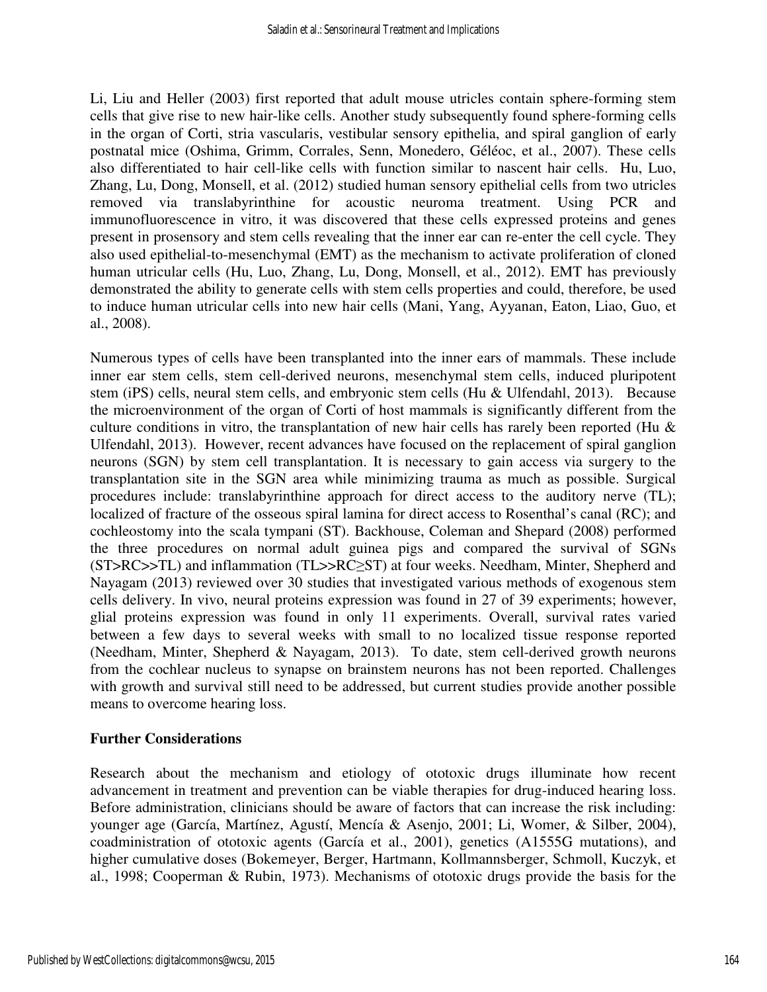Li, Liu and Heller (2003) first reported that adult mouse utricles contain sphere-forming stem cells that give rise to new hair-like cells. Another study subsequently found sphere-forming cells in the organ of Corti, stria vascularis, vestibular sensory epithelia, and spiral ganglion of early postnatal mice (Oshima, Grimm, Corrales, Senn, Monedero, Géléoc, et al., 2007). These cells also differentiated to hair cell-like cells with function similar to nascent hair cells. Hu, Luo, Zhang, Lu, Dong, Monsell, et al. (2012) studied human sensory epithelial cells from two utricles removed via translabyrinthine for acoustic neuroma treatment. Using PCR and immunofluorescence in vitro, it was discovered that these cells expressed proteins and genes present in prosensory and stem cells revealing that the inner ear can re-enter the cell cycle. They also used epithelial-to-mesenchymal (EMT) as the mechanism to activate proliferation of cloned human utricular cells (Hu, Luo, Zhang, Lu, Dong, Monsell, et al., 2012). EMT has previously demonstrated the ability to generate cells with stem cells properties and could, therefore, be used to induce human utricular cells into new hair cells (Mani, Yang, Ayyanan, Eaton, Liao, Guo, et al., 2008).

Numerous types of cells have been transplanted into the inner ears of mammals. These include inner ear stem cells, stem cell-derived neurons, mesenchymal stem cells, induced pluripotent stem (iPS) cells, neural stem cells, and embryonic stem cells (Hu & Ulfendahl, 2013). Because the microenvironment of the organ of Corti of host mammals is significantly different from the culture conditions in vitro, the transplantation of new hair cells has rarely been reported (Hu & Ulfendahl, 2013). However, recent advances have focused on the replacement of spiral ganglion neurons (SGN) by stem cell transplantation. It is necessary to gain access via surgery to the transplantation site in the SGN area while minimizing trauma as much as possible. Surgical procedures include: translabyrinthine approach for direct access to the auditory nerve (TL); localized of fracture of the osseous spiral lamina for direct access to Rosenthal's canal (RC); and cochleostomy into the scala tympani (ST). Backhouse, Coleman and Shepard (2008) performed the three procedures on normal adult guinea pigs and compared the survival of SGNs (ST>RC>>TL) and inflammation (TL>>RC≥ST) at four weeks. Needham, Minter, Shepherd and Nayagam (2013) reviewed over 30 studies that investigated various methods of exogenous stem cells delivery. In vivo, neural proteins expression was found in 27 of 39 experiments; however, glial proteins expression was found in only 11 experiments. Overall, survival rates varied between a few days to several weeks with small to no localized tissue response reported (Needham, Minter, Shepherd & Nayagam, 2013). To date, stem cell-derived growth neurons from the cochlear nucleus to synapse on brainstem neurons has not been reported. Challenges with growth and survival still need to be addressed, but current studies provide another possible means to overcome hearing loss.

## **Further Considerations**

Research about the mechanism and etiology of ototoxic drugs illuminate how recent advancement in treatment and prevention can be viable therapies for drug-induced hearing loss. Before administration, clinicians should be aware of factors that can increase the risk including: younger age (García, Martínez, Agustí, Mencía & Asenjo, 2001; Li, Womer, & Silber, 2004), coadministration of ototoxic agents (García et al., 2001), genetics (A1555G mutations), and higher cumulative doses (Bokemeyer, Berger, Hartmann, Kollmannsberger, Schmoll, Kuczyk, et al., 1998; Cooperman & Rubin, 1973). Mechanisms of ototoxic drugs provide the basis for the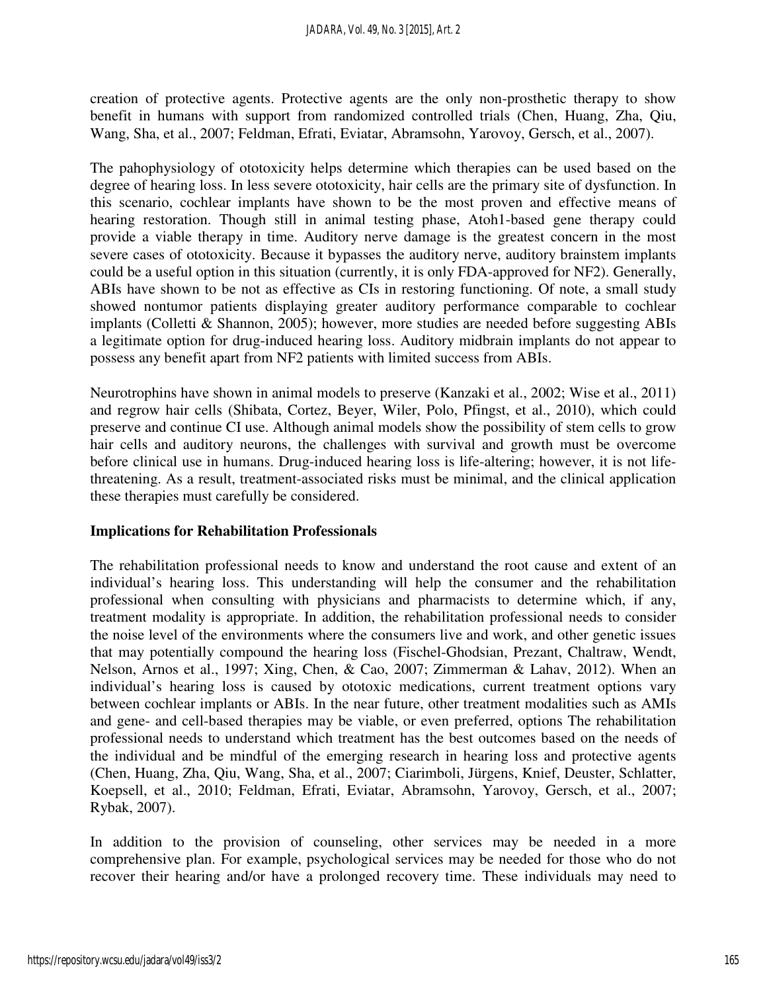creation of protective agents. Protective agents are the only non-prosthetic therapy to show benefit in humans with support from randomized controlled trials (Chen, Huang, Zha, Qiu, Wang, Sha, et al., 2007; Feldman, Efrati, Eviatar, Abramsohn, Yarovoy, Gersch, et al., 2007).

The pahophysiology of ototoxicity helps determine which therapies can be used based on the degree of hearing loss. In less severe ototoxicity, hair cells are the primary site of dysfunction. In this scenario, cochlear implants have shown to be the most proven and effective means of hearing restoration. Though still in animal testing phase, Atoh1-based gene therapy could provide a viable therapy in time. Auditory nerve damage is the greatest concern in the most severe cases of ototoxicity. Because it bypasses the auditory nerve, auditory brainstem implants could be a useful option in this situation (currently, it is only FDA-approved for NF2). Generally, ABIs have shown to be not as effective as CIs in restoring functioning. Of note, a small study showed nontumor patients displaying greater auditory performance comparable to cochlear implants (Colletti & Shannon, 2005); however, more studies are needed before suggesting ABIs a legitimate option for drug-induced hearing loss. Auditory midbrain implants do not appear to possess any benefit apart from NF2 patients with limited success from ABIs.

Neurotrophins have shown in animal models to preserve (Kanzaki et al., 2002; Wise et al., 2011) and regrow hair cells (Shibata, Cortez, Beyer, Wiler, Polo, Pfingst, et al., 2010), which could preserve and continue CI use. Although animal models show the possibility of stem cells to grow hair cells and auditory neurons, the challenges with survival and growth must be overcome before clinical use in humans. Drug-induced hearing loss is life-altering; however, it is not lifethreatening. As a result, treatment-associated risks must be minimal, and the clinical application these therapies must carefully be considered.

## **Implications for Rehabilitation Professionals**

The rehabilitation professional needs to know and understand the root cause and extent of an individual's hearing loss. This understanding will help the consumer and the rehabilitation professional when consulting with physicians and pharmacists to determine which, if any, treatment modality is appropriate. In addition, the rehabilitation professional needs to consider the noise level of the environments where the consumers live and work, and other genetic issues that may potentially compound the hearing loss (Fischel-Ghodsian, Prezant, Chaltraw, Wendt, Nelson, Arnos et al., 1997; Xing, Chen, & Cao, 2007; Zimmerman & Lahav, 2012). When an individual's hearing loss is caused by ototoxic medications, current treatment options vary between cochlear implants or ABIs. In the near future, other treatment modalities such as AMIs and gene- and cell-based therapies may be viable, or even preferred, options The rehabilitation professional needs to understand which treatment has the best outcomes based on the needs of the individual and be mindful of the emerging research in hearing loss and protective agents (Chen, Huang, Zha, Qiu, Wang, Sha, et al., 2007; Ciarimboli, Jürgens, Knief, Deuster, Schlatter, Koepsell, et al., 2010; Feldman, Efrati, Eviatar, Abramsohn, Yarovoy, Gersch, et al., 2007; Rybak, 2007).

In addition to the provision of counseling, other services may be needed in a more comprehensive plan. For example, psychological services may be needed for those who do not recover their hearing and/or have a prolonged recovery time. These individuals may need to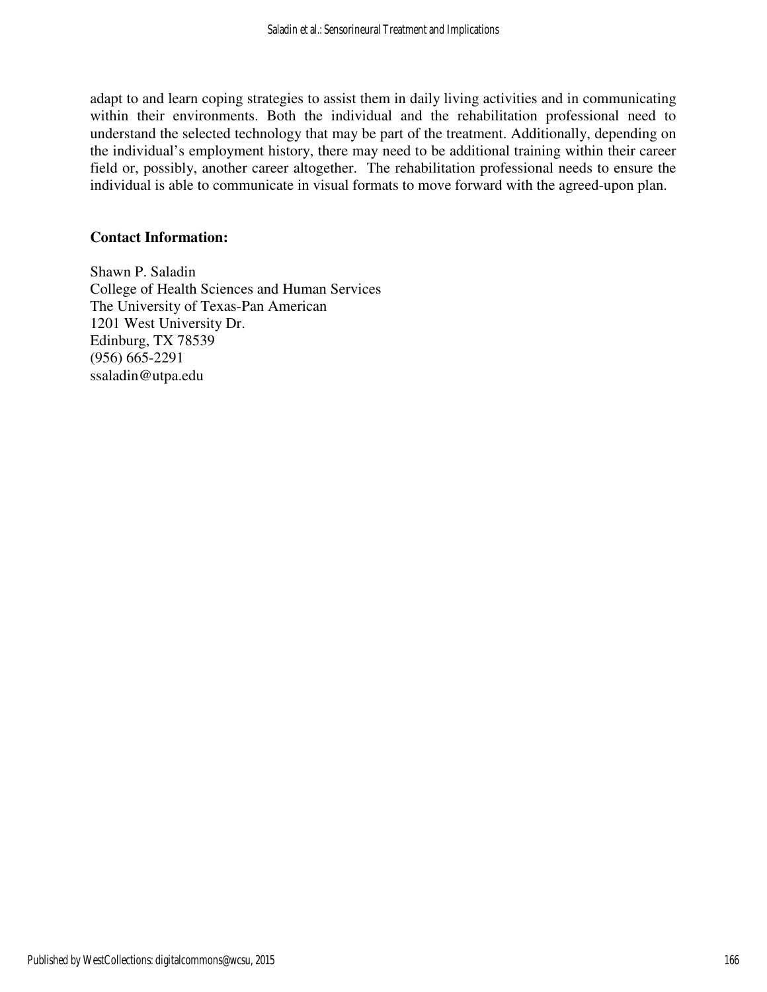adapt to and learn coping strategies to assist them in daily living activities and in communicating within their environments. Both the individual and the rehabilitation professional need to understand the selected technology that may be part of the treatment. Additionally, depending on the individual's employment history, there may need to be additional training within their career field or, possibly, another career altogether. The rehabilitation professional needs to ensure the individual is able to communicate in visual formats to move forward with the agreed-upon plan.

# **Contact Information:**

Shawn P. Saladin College of Health Sciences and Human Services The University of Texas-Pan American 1201 West University Dr. Edinburg, TX 78539 (956) 665-2291 ssaladin@utpa.edu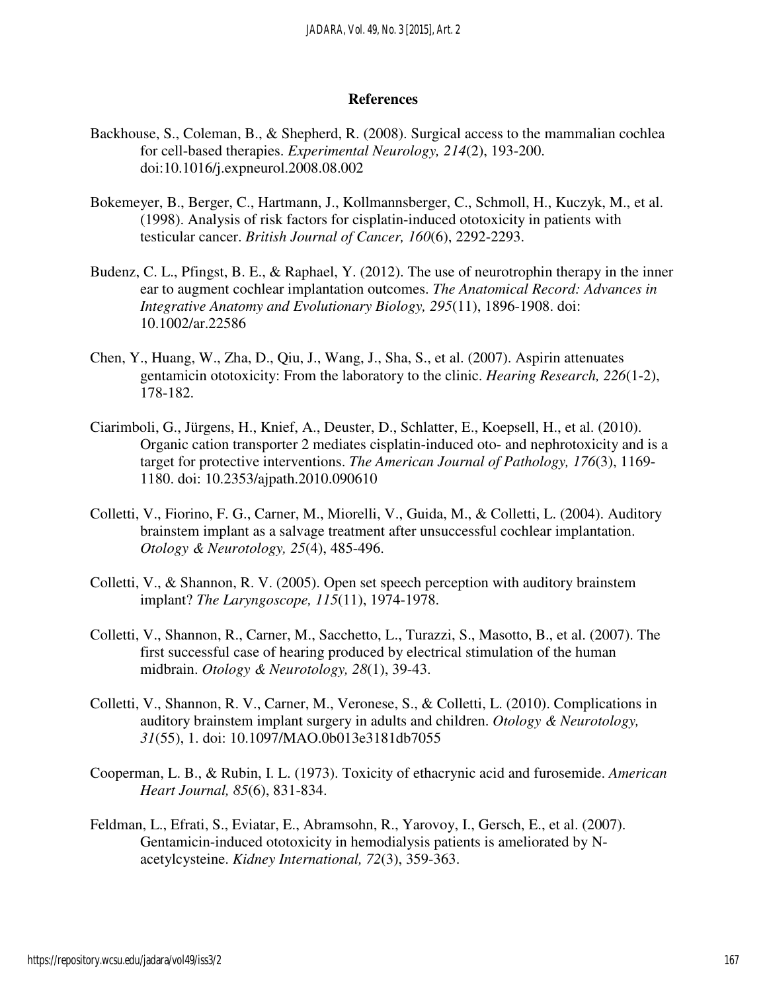#### **References**

- Backhouse, S., Coleman, B., & Shepherd, R. (2008). Surgical access to the mammalian cochlea for cell-based therapies. *Experimental Neurology, 214*(2), 193-200. doi:10.1016/j.expneurol.2008.08.002
- Bokemeyer, B., Berger, C., Hartmann, J., Kollmannsberger, C., Schmoll, H., Kuczyk, M., et al. (1998). Analysis of risk factors for cisplatin-induced ototoxicity in patients with testicular cancer. *British Journal of Cancer, 160*(6), 2292-2293.
- Budenz, C. L., Pfingst, B. E., & Raphael, Y. (2012). The use of neurotrophin therapy in the inner ear to augment cochlear implantation outcomes. *The Anatomical Record: Advances in Integrative Anatomy and Evolutionary Biology, 295*(11), 1896-1908. doi: 10.1002/ar.22586
- Chen, Y., Huang, W., Zha, D., Qiu, J., Wang, J., Sha, S., et al. (2007). Aspirin attenuates gentamicin ototoxicity: From the laboratory to the clinic. *Hearing Research, 226*(1-2), 178-182.
- Ciarimboli, G., Jürgens, H., Knief, A., Deuster, D., Schlatter, E., Koepsell, H., et al. (2010). Organic cation transporter 2 mediates cisplatin-induced oto- and nephrotoxicity and is a target for protective interventions. *The American Journal of Pathology, 176*(3), 1169- 1180. doi: 10.2353/ajpath.2010.090610
- Colletti, V., Fiorino, F. G., Carner, M., Miorelli, V., Guida, M., & Colletti, L. (2004). Auditory brainstem implant as a salvage treatment after unsuccessful cochlear implantation. *Otology & Neurotology, 25*(4), 485-496.
- Colletti, V., & Shannon, R. V. (2005). Open set speech perception with auditory brainstem implant? *The Laryngoscope, 115*(11), 1974-1978.
- Colletti, V., Shannon, R., Carner, M., Sacchetto, L., Turazzi, S., Masotto, B., et al. (2007). The first successful case of hearing produced by electrical stimulation of the human midbrain. *Otology & Neurotology, 28*(1), 39-43.
- Colletti, V., Shannon, R. V., Carner, M., Veronese, S., & Colletti, L. (2010). Complications in auditory brainstem implant surgery in adults and children. *Otology & Neurotology, 31*(55), 1. doi: 10.1097/MAO.0b013e3181db7055
- Cooperman, L. B., & Rubin, I. L. (1973). Toxicity of ethacrynic acid and furosemide. *American Heart Journal, 85*(6), 831-834.
- Feldman, L., Efrati, S., Eviatar, E., Abramsohn, R., Yarovoy, I., Gersch, E., et al. (2007). Gentamicin-induced ototoxicity in hemodialysis patients is ameliorated by Nacetylcysteine. *Kidney International, 72*(3), 359-363.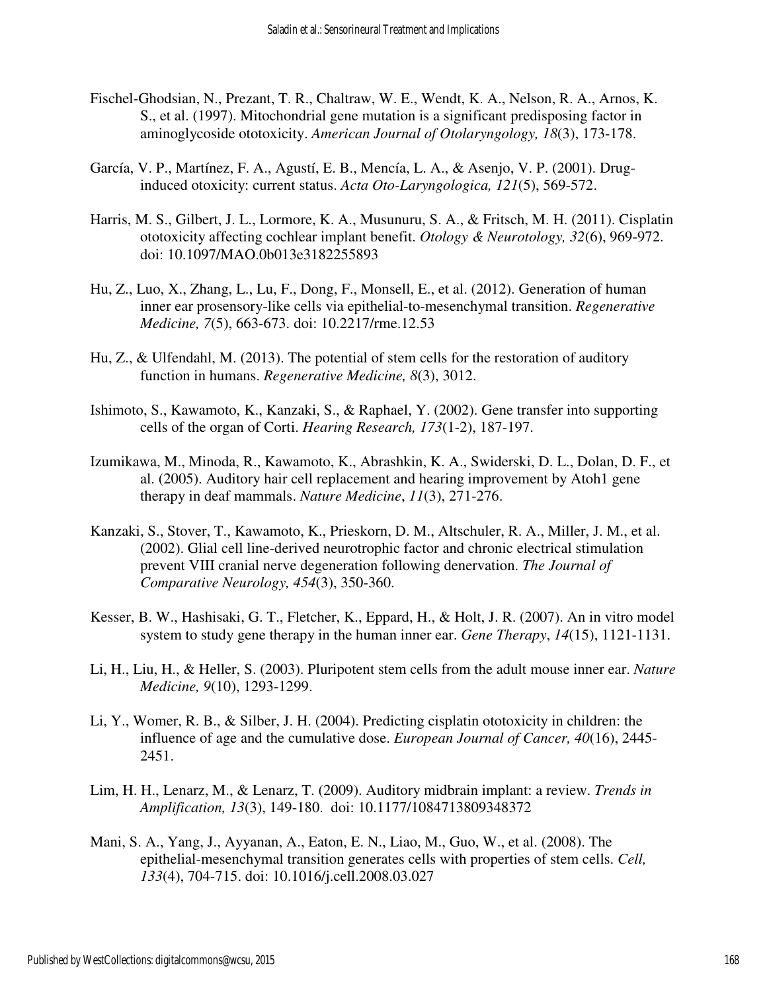- Fischel-Ghodsian, N., Prezant, T. R., Chaltraw, W. E., Wendt, K. A., Nelson, R. A., Arnos, K. S., et al. (1997). Mitochondrial gene mutation is a significant predisposing factor in aminoglycoside ototoxicity. *American Journal of Otolaryngology, 18*(3), 173-178.
- García, V. P., Martínez, F. A., Agustí, E. B., Mencía, L. A., & Asenjo, V. P. (2001). Druginduced otoxicity: current status. *Acta Oto-Laryngologica, 121*(5), 569-572.
- Harris, M. S., Gilbert, J. L., Lormore, K. A., Musunuru, S. A., & Fritsch, M. H. (2011). Cisplatin ototoxicity affecting cochlear implant benefit. *Otology & Neurotology, 32*(6), 969-972. doi: 10.1097/MAO.0b013e3182255893
- Hu, Z., Luo, X., Zhang, L., Lu, F., Dong, F., Monsell, E., et al. (2012). Generation of human inner ear prosensory-like cells via epithelial-to-mesenchymal transition. *Regenerative Medicine, 7*(5), 663-673. doi: 10.2217/rme.12.53
- Hu, Z., & Ulfendahl, M. (2013). The potential of stem cells for the restoration of auditory function in humans. *Regenerative Medicine, 8*(3), 3012.
- Ishimoto, S., Kawamoto, K., Kanzaki, S., & Raphael, Y. (2002). Gene transfer into supporting cells of the organ of Corti. *Hearing Research, 173*(1-2), 187-197.
- Izumikawa, M., Minoda, R., Kawamoto, K., Abrashkin, K. A., Swiderski, D. L., Dolan, D. F., et al. (2005). Auditory hair cell replacement and hearing improvement by Atoh1 gene therapy in deaf mammals. *Nature Medicine*, *11*(3), 271-276.
- Kanzaki, S., Stover, T., Kawamoto, K., Prieskorn, D. M., Altschuler, R. A., Miller, J. M., et al. (2002). Glial cell line-derived neurotrophic factor and chronic electrical stimulation prevent VIII cranial nerve degeneration following denervation. *The Journal of Comparative Neurology, 454*(3), 350-360.
- Kesser, B. W., Hashisaki, G. T., Fletcher, K., Eppard, H., & Holt, J. R. (2007). An in vitro model system to study gene therapy in the human inner ear. *Gene Therapy*, *14*(15), 1121-1131.
- Li, H., Liu, H., & Heller, S. (2003). Pluripotent stem cells from the adult mouse inner ear. *Nature Medicine, 9*(10), 1293-1299.
- Li, Y., Womer, R. B., & Silber, J. H. (2004). Predicting cisplatin ototoxicity in children: the influence of age and the cumulative dose. *European Journal of Cancer, 40*(16), 2445- 2451.
- Lim, H. H., Lenarz, M., & Lenarz, T. (2009). Auditory midbrain implant: a review. *Trends in Amplification, 13*(3), 149-180. doi: 10.1177/1084713809348372
- Mani, S. A., Yang, J., Ayyanan, A., Eaton, E. N., Liao, M., Guo, W., et al. (2008). The epithelial-mesenchymal transition generates cells with properties of stem cells. *Cell, 133*(4), 704-715. doi: 10.1016/j.cell.2008.03.027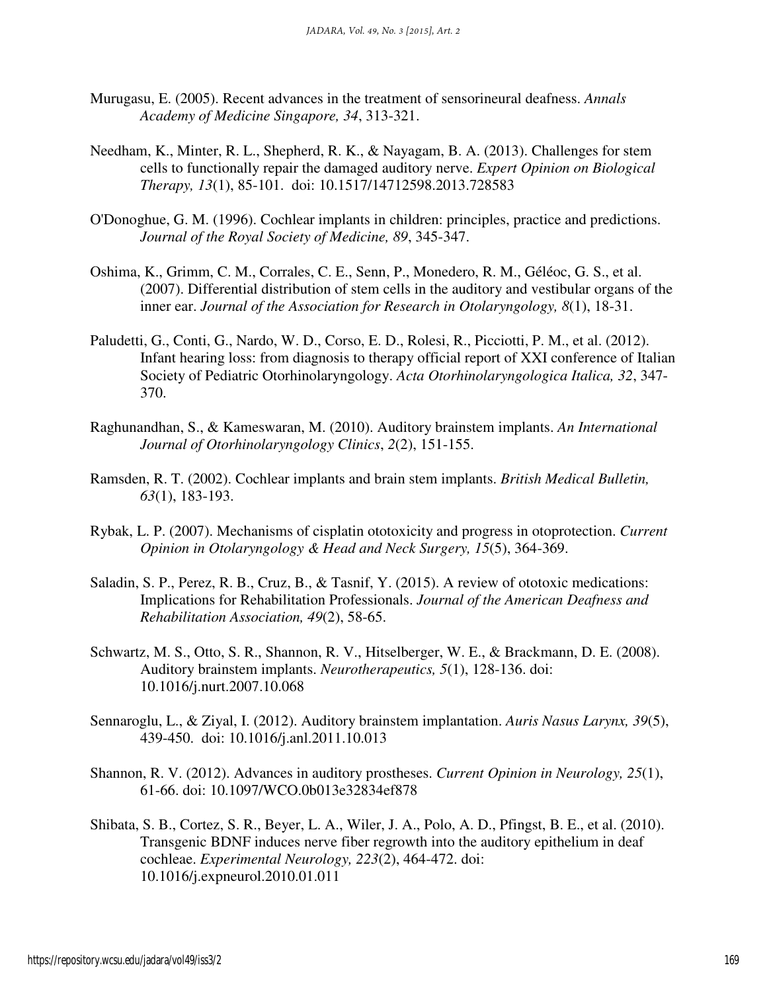- Murugasu, E. (2005). Recent advances in the treatment of sensorineural deafness. *Annals Academy of Medicine Singapore, 34*, 313-321.
- Needham, K., Minter, R. L., Shepherd, R. K., & Nayagam, B. A. (2013). Challenges for stem cells to functionally repair the damaged auditory nerve. *Expert Opinion on Biological Therapy, 13*(1), 85-101. doi: 10.1517/14712598.2013.728583
- O'Donoghue, G. M. (1996). Cochlear implants in children: principles, practice and predictions. *Journal of the Royal Society of Medicine, 89*, 345-347.
- Oshima, K., Grimm, C. M., Corrales, C. E., Senn, P., Monedero, R. M., Géléoc, G. S., et al. (2007). Differential distribution of stem cells in the auditory and vestibular organs of the inner ear. *Journal of the Association for Research in Otolaryngology, 8*(1), 18-31.
- Paludetti, G., Conti, G., Nardo, W. D., Corso, E. D., Rolesi, R., Picciotti, P. M., et al. (2012). Infant hearing loss: from diagnosis to therapy official report of XXI conference of Italian Society of Pediatric Otorhinolaryngology. *Acta Otorhinolaryngologica Italica, 32*, 347- 370.
- Raghunandhan, S., & Kameswaran, M. (2010). Auditory brainstem implants. *An International Journal of Otorhinolaryngology Clinics*, *2*(2), 151-155.
- Ramsden, R. T. (2002). Cochlear implants and brain stem implants. *British Medical Bulletin, 63*(1), 183-193.
- Rybak, L. P. (2007). Mechanisms of cisplatin ototoxicity and progress in otoprotection. *Current Opinion in Otolaryngology & Head and Neck Surgery, 15*(5), 364-369.
- Saladin, S. P., Perez, R. B., Cruz, B., & Tasnif, Y. (2015). A review of ototoxic medications: Implications for Rehabilitation Professionals. *Journal of the American Deafness and Rehabilitation Association, 49*(2), 58-65.
- Schwartz, M. S., Otto, S. R., Shannon, R. V., Hitselberger, W. E., & Brackmann, D. E. (2008). Auditory brainstem implants. *Neurotherapeutics, 5*(1), 128-136. doi: 10.1016/j.nurt.2007.10.068
- Sennaroglu, L., & Ziyal, I. (2012). Auditory brainstem implantation. *Auris Nasus Larynx, 39*(5), 439-450. doi: 10.1016/j.anl.2011.10.013
- Shannon, R. V. (2012). Advances in auditory prostheses. *Current Opinion in Neurology, 25*(1), 61-66. doi: 10.1097/WCO.0b013e32834ef878
- Shibata, S. B., Cortez, S. R., Beyer, L. A., Wiler, J. A., Polo, A. D., Pfingst, B. E., et al. (2010). Transgenic BDNF induces nerve fiber regrowth into the auditory epithelium in deaf cochleae. *Experimental Neurology, 223*(2), 464-472. doi: 10.1016/j.expneurol.2010.01.011